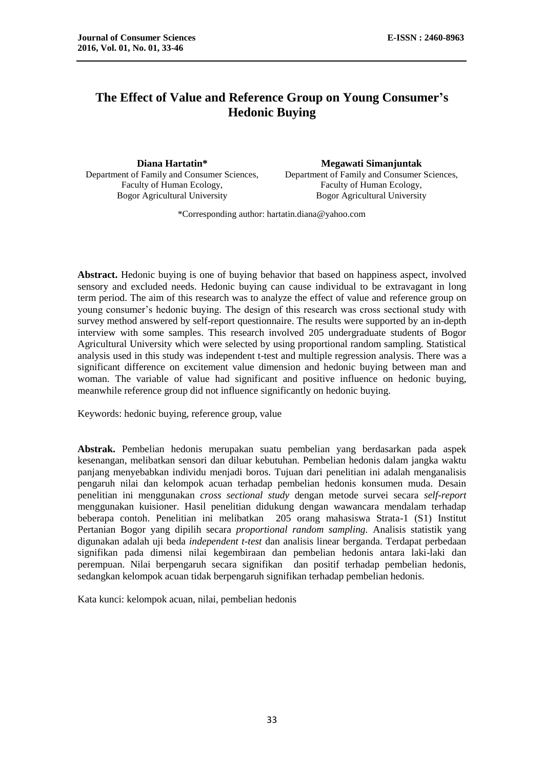# **The Effect of Value and Reference Group on Young Consumer's Hedonic Buying**

Department of Family and Consumer Sciences, Faculty of Human Ecology, Bogor Agricultural University

**Diana Hartatin\* Megawati Simanjuntak** Department of Family and Consumer Sciences, Faculty of Human Ecology, Bogor Agricultural University

\*Corresponding author: hartatin.diana@yahoo.com

Abstract. Hedonic buying is one of buying behavior that based on happiness aspect, involved sensory and excluded needs. Hedonic buying can cause individual to be extravagant in long term period. The aim of this research was to analyze the effect of value and reference group on young consumer's hedonic buying. The design of this research was cross sectional study with survey method answered by self-report questionnaire. The results were supported by an in-depth interview with some samples. This research involved 205 undergraduate students of Bogor Agricultural University which were selected by using proportional random sampling. Statistical analysis used in this study was independent t-test and multiple regression analysis. There was a significant difference on excitement value dimension and hedonic buying between man and woman. The variable of value had significant and positive influence on hedonic buying, meanwhile reference group did not influence significantly on hedonic buying.

Keywords: hedonic buying, reference group, value

**Abstrak.** Pembelian hedonis merupakan suatu pembelian yang berdasarkan pada aspek kesenangan, melibatkan sensori dan diluar kebutuhan. Pembelian hedonis dalam jangka waktu panjang menyebabkan individu menjadi boros. Tujuan dari penelitian ini adalah menganalisis pengaruh nilai dan kelompok acuan terhadap pembelian hedonis konsumen muda. Desain penelitian ini menggunakan *cross sectional study* dengan metode survei secara *self-report*  menggunakan kuisioner. Hasil penelitian didukung dengan wawancara mendalam terhadap beberapa contoh. Penelitian ini melibatkan 205 orang mahasiswa Strata-1 (S1) Institut Pertanian Bogor yang dipilih secara *proportional random sampling.* Analisis statistik yang digunakan adalah uji beda *independent t-test* dan analisis linear berganda. Terdapat perbedaan signifikan pada dimensi nilai kegembiraan dan pembelian hedonis antara laki-laki dan perempuan. Nilai berpengaruh secara signifikan dan positif terhadap pembelian hedonis, sedangkan kelompok acuan tidak berpengaruh signifikan terhadap pembelian hedonis.

Kata kunci: kelompok acuan, nilai, pembelian hedonis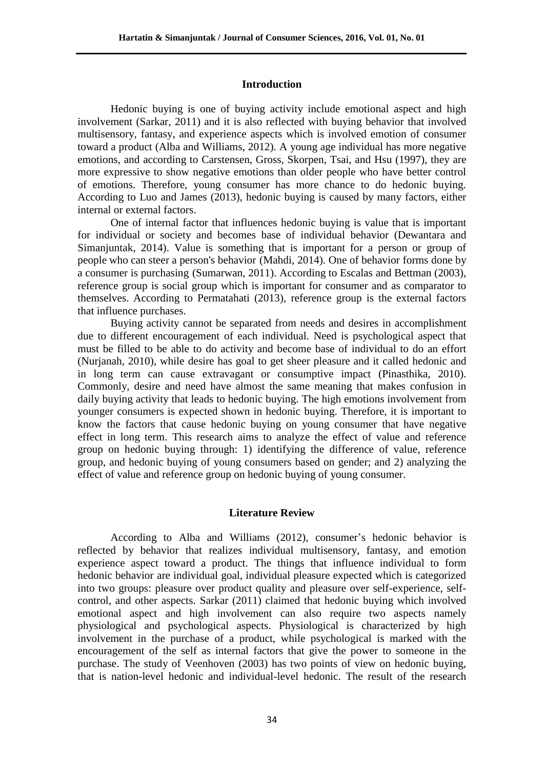### **Introduction**

Hedonic buying is one of buying activity include emotional aspect and high involvement (Sarkar, 2011) and it is also reflected with buying behavior that involved multisensory, fantasy, and experience aspects which is involved emotion of consumer toward a product (Alba and Williams, 2012). A young age individual has more negative emotions, and according to Carstensen, Gross, Skorpen, Tsai, and Hsu (1997), they are more expressive to show negative emotions than older people who have better control of emotions. Therefore, young consumer has more chance to do hedonic buying. According to Luo and James (2013), hedonic buying is caused by many factors, either internal or external factors.

One of internal factor that influences hedonic buying is value that is important for individual or society and becomes base of individual behavior (Dewantara and Simanjuntak, 2014). Value is something that is important for a person or group of people who can steer a person's behavior (Mahdi, 2014). One of behavior forms done by a consumer is purchasing (Sumarwan, 2011). According to Escalas and Bettman (2003), reference group is social group which is important for consumer and as comparator to themselves. According to Permatahati (2013), reference group is the external factors that influence purchases.

Buying activity cannot be separated from needs and desires in accomplishment due to different encouragement of each individual. Need is psychological aspect that must be filled to be able to do activity and become base of individual to do an effort (Nurjanah, 2010), while desire has goal to get sheer pleasure and it called hedonic and in long term can cause extravagant or consumptive impact (Pinasthika, 2010). Commonly, desire and need have almost the same meaning that makes confusion in daily buying activity that leads to hedonic buying. The high emotions involvement from younger consumers is expected shown in hedonic buying. Therefore, it is important to know the factors that cause hedonic buying on young consumer that have negative effect in long term. This research aims to analyze the effect of value and reference group on hedonic buying through: 1) identifying the difference of value, reference group, and hedonic buying of young consumers based on gender; and 2) analyzing the effect of value and reference group on hedonic buying of young consumer.

## **Literature Review**

According to Alba and Williams (2012), consumer's hedonic behavior is reflected by behavior that realizes individual multisensory, fantasy, and emotion experience aspect toward a product. The things that influence individual to form hedonic behavior are individual goal, individual pleasure expected which is categorized into two groups: pleasure over product quality and pleasure over self-experience, selfcontrol, and other aspects. Sarkar (2011) claimed that hedonic buying which involved emotional aspect and high involvement can also require two aspects namely physiological and psychological aspects. Physiological is characterized by high involvement in the purchase of a product, while psychological is marked with the encouragement of the self as internal factors that give the power to someone in the purchase. The study of Veenhoven (2003) has two points of view on hedonic buying, that is nation-level hedonic and individual-level hedonic. The result of the research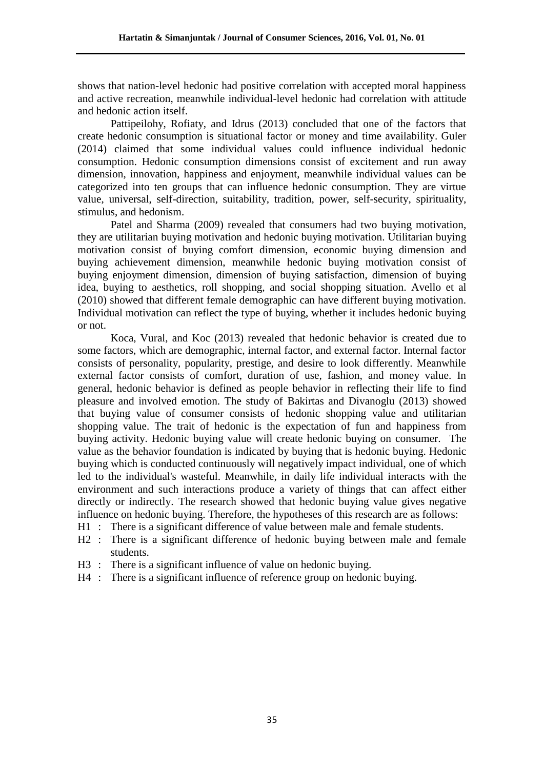shows that nation-level hedonic had positive correlation with accepted moral happiness and active recreation, meanwhile individual-level hedonic had correlation with attitude and hedonic action itself.

Pattipeilohy, Rofiaty, and Idrus (2013) concluded that one of the factors that create hedonic consumption is situational factor or money and time availability. Guler (2014) claimed that some individual values could influence individual hedonic consumption. Hedonic consumption dimensions consist of excitement and run away dimension, innovation, happiness and enjoyment, meanwhile individual values can be categorized into ten groups that can influence hedonic consumption. They are virtue value, universal, self-direction, suitability, tradition, power, self-security, spirituality, stimulus, and hedonism.

Patel and Sharma (2009) revealed that consumers had two buying motivation, they are utilitarian buying motivation and hedonic buying motivation. Utilitarian buying motivation consist of buying comfort dimension, economic buying dimension and buying achievement dimension, meanwhile hedonic buying motivation consist of buying enjoyment dimension, dimension of buying satisfaction, dimension of buying idea, buying to aesthetics, roll shopping, and social shopping situation. Avello et al (2010) showed that different female demographic can have different buying motivation. Individual motivation can reflect the type of buying, whether it includes hedonic buying or not.

Koca, Vural, and Koc (2013) revealed that hedonic behavior is created due to some factors, which are demographic, internal factor, and external factor. Internal factor consists of personality, popularity, prestige, and desire to look differently. Meanwhile external factor consists of comfort, duration of use, fashion, and money value. In general, hedonic behavior is defined as people behavior in reflecting their life to find pleasure and involved emotion. The study of Bakirtas and Divanoglu (2013) showed that buying value of consumer consists of hedonic shopping value and utilitarian shopping value. The trait of hedonic is the expectation of fun and happiness from buying activity. Hedonic buying value will create hedonic buying on consumer. The value as the behavior foundation is indicated by buying that is hedonic buying. Hedonic buying which is conducted continuously will negatively impact individual, one of which led to the individual's wasteful. Meanwhile, in daily life individual interacts with the environment and such interactions produce a variety of things that can affect either directly or indirectly. The research showed that hedonic buying value gives negative influence on hedonic buying. Therefore, the hypotheses of this research are as follows:

- H1 : There is a significant difference of value between male and female students.
- H2 : There is a significant difference of hedonic buying between male and female students.
- H3 : There is a significant influence of value on hedonic buying.
- H4 : There is a significant influence of reference group on hedonic buying.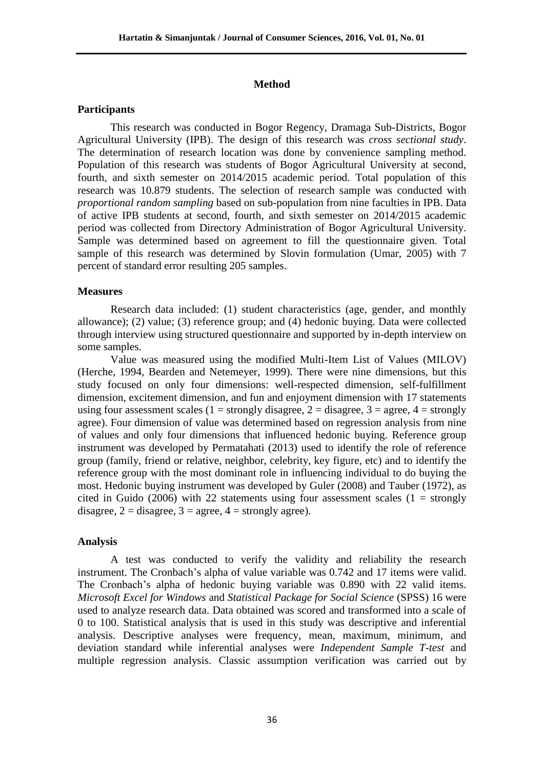#### **Method**

## **Participants**

This research was conducted in Bogor Regency, Dramaga Sub-Districts, Bogor Agricultural University (IPB). The design of this research was *cross sectional study*. The determination of research location was done by convenience sampling method. Population of this research was students of Bogor Agricultural University at second, fourth, and sixth semester on 2014/2015 academic period. Total population of this research was 10.879 students. The selection of research sample was conducted with *proportional random sampling* based on sub-population from nine faculties in IPB. Data of active IPB students at second, fourth, and sixth semester on 2014/2015 academic period was collected from Directory Administration of Bogor Agricultural University. Sample was determined based on agreement to fill the questionnaire given. Total sample of this research was determined by Slovin formulation (Umar, 2005) with 7 percent of standard error resulting 205 samples.

#### **Measures**

Research data included: (1) student characteristics (age, gender, and monthly allowance); (2) value; (3) reference group; and (4) hedonic buying. Data were collected through interview using structured questionnaire and supported by in-depth interview on some samples.

Value was measured using the modified Multi-Item List of Values (MILOV) (Herche, 1994, Bearden and Netemeyer, 1999). There were nine dimensions, but this study focused on only four dimensions: well-respected dimension, self-fulfillment dimension, excitement dimension, and fun and enjoyment dimension with 17 statements using four assessment scales (1 = strongly disagree, 2 = disagree, 3 = agree, 4 = strongly agree). Four dimension of value was determined based on regression analysis from nine of values and only four dimensions that influenced hedonic buying. Reference group instrument was developed by Permatahati (2013) used to identify the role of reference group (family, friend or relative, neighbor, celebrity, key figure, etc) and to identify the reference group with the most dominant role in influencing individual to do buying the most. Hedonic buying instrument was developed by Guler (2008) and Tauber (1972), as cited in Guido (2006) with 22 statements using four assessment scales ( $1 =$  strongly disagree,  $2 =$  disagree,  $3 =$  agree,  $4 =$  strongly agree).

## **Analysis**

A test was conducted to verify the validity and reliability the research instrument. The Cronbach's alpha of value variable was 0.742 and 17 items were valid. The Cronbach's alpha of hedonic buying variable was 0.890 with 22 valid items. *Microsoft Excel for Windows* and *Statistical Package for Social Science* (SPSS) 16 were used to analyze research data. Data obtained was scored and transformed into a scale of 0 to 100. Statistical analysis that is used in this study was descriptive and inferential analysis. Descriptive analyses were frequency, mean, maximum, minimum, and deviation standard while inferential analyses were *Independent Sample T-test* and multiple regression analysis. Classic assumption verification was carried out by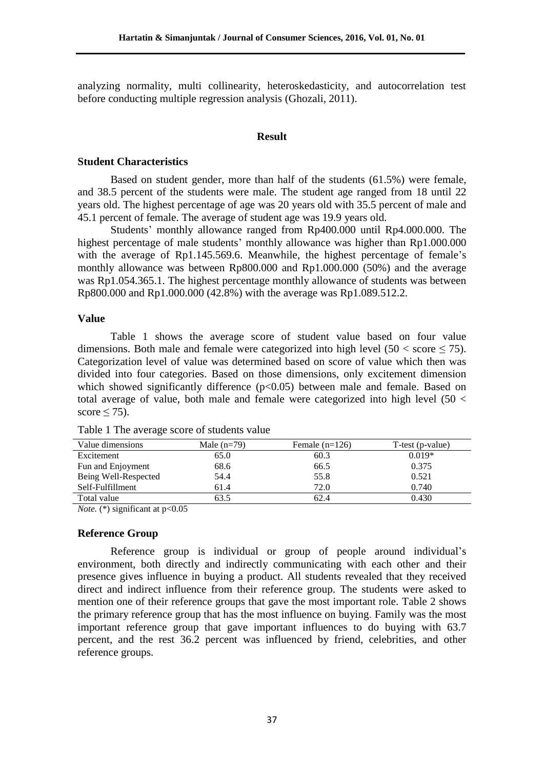analyzing normality, multi collinearity, heteroskedasticity, and autocorrelation test before conducting multiple regression analysis (Ghozali, 2011).

## **Result**

### **Student Characteristics**

Based on student gender, more than half of the students (61.5%) were female, and 38.5 percent of the students were male. The student age ranged from 18 until 22 years old. The highest percentage of age was 20 years old with 35.5 percent of male and 45.1 percent of female. The average of student age was 19.9 years old.

Students' monthly allowance ranged from Rp400.000 until Rp4.000.000. The highest percentage of male students' monthly allowance was higher than Rp1.000.000 with the average of Rp1.145.569.6. Meanwhile, the highest percentage of female's monthly allowance was between Rp800.000 and Rp1.000.000 (50%) and the average was Rp1.054.365.1. The highest percentage monthly allowance of students was between Rp800.000 and Rp1.000.000 (42.8%) with the average was Rp1.089.512.2.

## **Value**

Table 1 shows the average score of student value based on four value dimensions. Both male and female were categorized into high level (50 < score  $\leq$  75). Categorization level of value was determined based on score of value which then was divided into four categories. Based on those dimensions, only excitement dimension which showed significantly difference (p<0.05) between male and female. Based on total average of value, both male and female were categorized into high level  $(50 <$ score  $\leq$  75).

| Value dimensions     | Male $(n=79)$ | Female $(n=126)$ | T-test (p-value) |
|----------------------|---------------|------------------|------------------|
| Excitement           | 65.0          | 60.3             | $0.019*$         |
| Fun and Enjoyment    | 68.6          | 66.5             | 0.375            |
| Being Well-Respected | 54.4          | 55.8             | 0.521            |
| Self-Fulfillment     | 61.4          | 72.0             | 0.740            |
| Total value          | 63.5          | 62.4             | 0.430            |

Table 1 The average score of students value

*Note.* (\*) significant at p<0.05

## **Reference Group**

Reference group is individual or group of people around individual's environment, both directly and indirectly communicating with each other and their presence gives influence in buying a product. All students revealed that they received direct and indirect influence from their reference group. The students were asked to mention one of their reference groups that gave the most important role. Table 2 shows the primary reference group that has the most influence on buying. Family was the most important reference group that gave important influences to do buying with 63.7 percent, and the rest 36.2 percent was influenced by friend, celebrities, and other reference groups.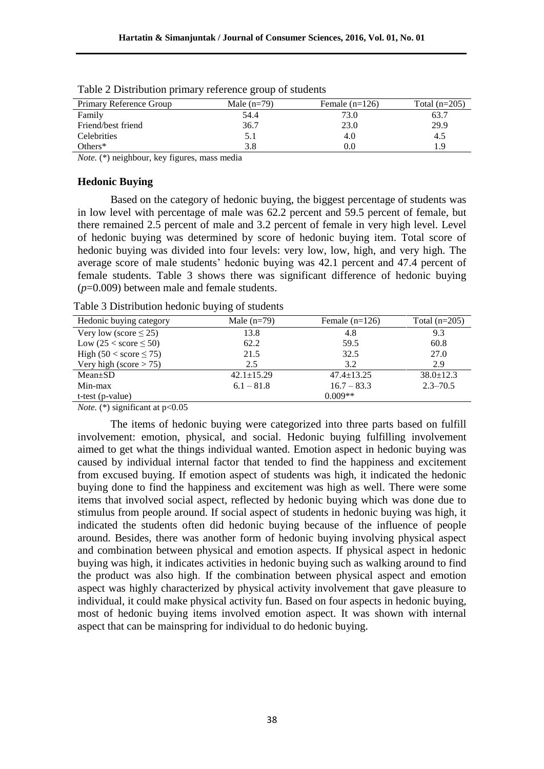| Primary Reference Group | Male $(n=79)$ | Female $(n=126)$ | Total $(n=205)$ |
|-------------------------|---------------|------------------|-----------------|
| Family                  | 54.4          | 73.0             | 63.7            |
| Friend/best friend      | 36.7          | 23.0             | 29.9            |
| Celebrities             |               | 4.0              | 4.5             |
| Others $*$              | 3.8           | 0.0              | 1.9             |

Table 2 Distribution primary reference group of students

*Note.* (\*) neighbour, key figures, mass media

#### **Hedonic Buying**

Based on the category of hedonic buying, the biggest percentage of students was in low level with percentage of male was 62.2 percent and 59.5 percent of female, but there remained 2.5 percent of male and 3.2 percent of female in very high level. Level of hedonic buying was determined by score of hedonic buying item. Total score of hedonic buying was divided into four levels: very low, low, high, and very high. The average score of male students' hedonic buying was 42.1 percent and 47.4 percent of female students. Table 3 shows there was significant difference of hedonic buying (*p*=0.009) between male and female students.

Table 3 Distribution hedonic buying of students

| Hedonic buying category        | Male $(n=79)$    | Female $(n=126)$ | Total $(n=205)$ |
|--------------------------------|------------------|------------------|-----------------|
| Very low (score $\leq$ 25)     | 13.8             | 4.8              | 9.3             |
| Low $(25 <$ score $\leq 50$ )  | 62.2             | 59.5             | 60.8            |
| High $(50 <$ score $\leq 75$ ) | 21.5             | 32.5             | 27.0            |
| Very high (score $> 75$ )      | 2.5              | 3.2              | 2.9             |
| $Mean \pm SD$                  | $42.1 \pm 15.29$ | $47.4 + 13.25$   | $38.0 \pm 12.3$ |
| Min-max                        | $6.1 - 81.8$     | $16.7 - 83.3$    | $2.3 - 70.5$    |
| $t-test (p-value)$             |                  | $0.009**$        |                 |

*Note.* (\*) significant at  $p<0.05$ 

The items of hedonic buying were categorized into three parts based on fulfill involvement: emotion, physical, and social. Hedonic buying fulfilling involvement aimed to get what the things individual wanted. Emotion aspect in hedonic buying was caused by individual internal factor that tended to find the happiness and excitement from excused buying. If emotion aspect of students was high, it indicated the hedonic buying done to find the happiness and excitement was high as well. There were some items that involved social aspect, reflected by hedonic buying which was done due to stimulus from people around. If social aspect of students in hedonic buying was high, it indicated the students often did hedonic buying because of the influence of people around. Besides, there was another form of hedonic buying involving physical aspect and combination between physical and emotion aspects. If physical aspect in hedonic buying was high, it indicates activities in hedonic buying such as walking around to find the product was also high. If the combination between physical aspect and emotion aspect was highly characterized by physical activity involvement that gave pleasure to individual, it could make physical activity fun. Based on four aspects in hedonic buying, most of hedonic buying items involved emotion aspect. It was shown with internal aspect that can be mainspring for individual to do hedonic buying.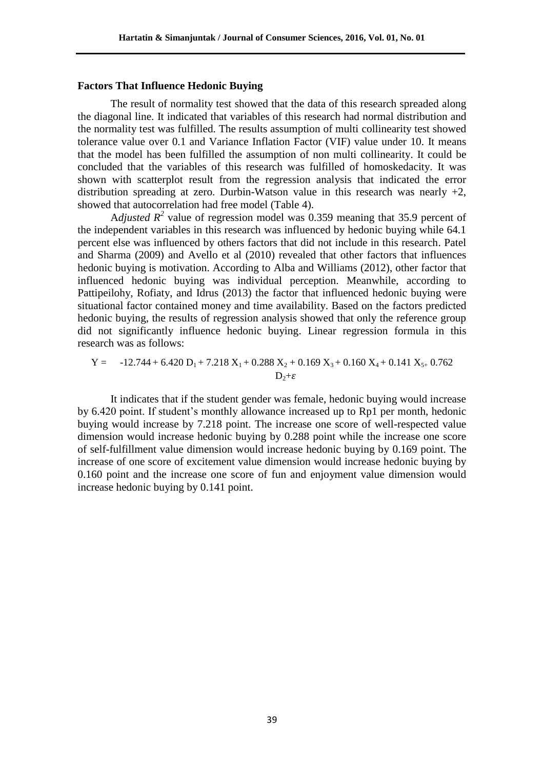#### **Factors That Influence Hedonic Buying**

The result of normality test showed that the data of this research spreaded along the diagonal line. It indicated that variables of this research had normal distribution and the normality test was fulfilled. The results assumption of multi collinearity test showed tolerance value over 0.1 and Variance Inflation Factor (VIF) value under 10. It means that the model has been fulfilled the assumption of non multi collinearity. It could be concluded that the variables of this research was fulfilled of homoskedacity. It was shown with scatterplot result from the regression analysis that indicated the error distribution spreading at zero. Durbin-Watson value in this research was nearly  $+2$ , showed that autocorrelation had free model (Table 4).

A*djusted*  $R^2$  value of regression model was 0.359 meaning that 35.9 percent of the independent variables in this research was influenced by hedonic buying while 64.1 percent else was influenced by others factors that did not include in this research. Patel and Sharma (2009) and Avello et al (2010) revealed that other factors that influences hedonic buying is motivation. According to Alba and Williams (2012), other factor that influenced hedonic buying was individual perception. Meanwhile, according to Pattipeilohy, Rofiaty, and Idrus (2013) the factor that influenced hedonic buying were situational factor contained money and time availability. Based on the factors predicted hedonic buying, the results of regression analysis showed that only the reference group did not significantly influence hedonic buying. Linear regression formula in this research was as follows:

Y = 
$$
-12.744 + 6.420 D_1 + 7.218 X_1 + 0.288 X_2 + 0.169 X_3 + 0.160 X_4 + 0.141 X_{5+} 0.762
$$
  
D<sub>2</sub>+ $\varepsilon$ 

It indicates that if the student gender was female, hedonic buying would increase by 6.420 point. If student's monthly allowance increased up to Rp1 per month, hedonic buying would increase by 7.218 point. The increase one score of well-respected value dimension would increase hedonic buying by 0.288 point while the increase one score of self-fulfillment value dimension would increase hedonic buying by 0.169 point. The increase of one score of excitement value dimension would increase hedonic buying by 0.160 point and the increase one score of fun and enjoyment value dimension would increase hedonic buying by 0.141 point.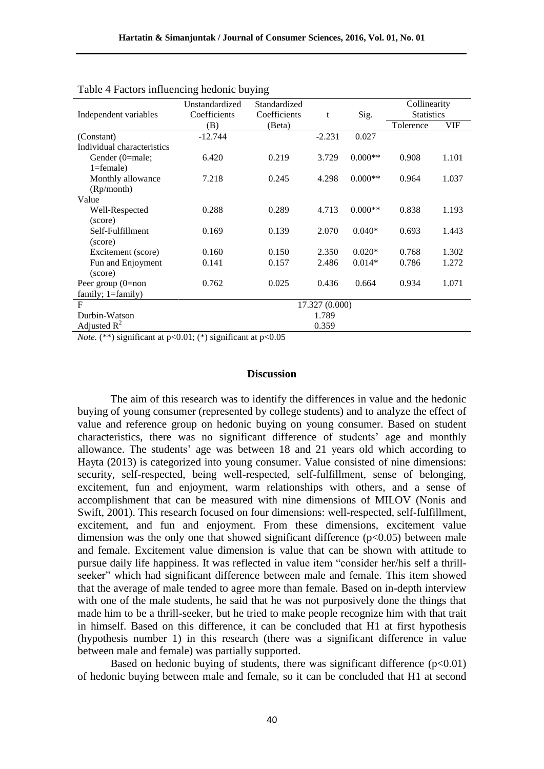| Independent variables      | Unstandardized<br>Standardized<br>Coefficients<br>Coefficients |        | t        | Sig.      | Collinearity<br><b>Statistics</b> |       |  |
|----------------------------|----------------------------------------------------------------|--------|----------|-----------|-----------------------------------|-------|--|
|                            | (B)                                                            | (Beta) |          |           | Tolerence                         | VIF   |  |
| (Constant)                 | $-12.744$                                                      |        | $-2.231$ | 0.027     |                                   |       |  |
| Individual characteristics |                                                                |        |          |           |                                   |       |  |
| Gender (0=male;            | 6.420                                                          | 0.219  | 3.729    | $0.000**$ | 0.908                             | 1.101 |  |
| $1 = female$ )             |                                                                |        |          |           |                                   |       |  |
| Monthly allowance          | 7.218                                                          | 0.245  | 4.298    | $0.000**$ | 0.964                             | 1.037 |  |
| (Rp/month)                 |                                                                |        |          |           |                                   |       |  |
| Value                      |                                                                |        |          |           |                                   |       |  |
| Well-Respected             | 0.288                                                          | 0.289  | 4.713    | $0.000**$ | 0.838                             | 1.193 |  |
| (score)                    |                                                                |        |          |           |                                   |       |  |
| Self-Fulfillment           | 0.169                                                          | 0.139  | 2.070    | $0.040*$  | 0.693                             | 1.443 |  |
| (score)                    |                                                                |        |          |           |                                   |       |  |
| Excitement (score)         | 0.160                                                          | 0.150  | 2.350    | $0.020*$  | 0.768                             | 1.302 |  |
| Fun and Enjoyment          | 0.141                                                          | 0.157  | 2.486    | $0.014*$  | 0.786                             | 1.272 |  |
| (score)                    |                                                                |        |          |           |                                   |       |  |
| Peer group $(0=$ non       | 0.762                                                          | 0.025  | 0.436    | 0.664     | 0.934                             | 1.071 |  |
| family; $1 = \{family}$    |                                                                |        |          |           |                                   |       |  |
| F                          | 17.327 (0.000)                                                 |        |          |           |                                   |       |  |
| Durbin-Watson              | 1.789                                                          |        |          |           |                                   |       |  |
| Adjusted $R^2$             | 0.359                                                          |        |          |           |                                   |       |  |

| Table 4 Factors influencing hedonic buying |  |  |  |  |
|--------------------------------------------|--|--|--|--|

*Note.* (\*\*) significant at p<0.01; (\*) significant at p<0.05

#### **Discussion**

The aim of this research was to identify the differences in value and the hedonic buying of young consumer (represented by college students) and to analyze the effect of value and reference group on hedonic buying on young consumer. Based on student characteristics, there was no significant difference of students' age and monthly allowance. The students' age was between 18 and 21 years old which according to Hayta (2013) is categorized into young consumer. Value consisted of nine dimensions: security, self-respected, being well-respected, self-fulfillment, sense of belonging, excitement, fun and enjoyment, warm relationships with others, and a sense of accomplishment that can be measured with nine dimensions of MILOV (Nonis and Swift, 2001). This research focused on four dimensions: well-respected, self-fulfillment, excitement, and fun and enjoyment. From these dimensions, excitement value dimension was the only one that showed significant difference  $(p<0.05)$  between male and female. Excitement value dimension is value that can be shown with attitude to pursue daily life happiness. It was reflected in value item "consider her/his self a thrillseeker" which had significant difference between male and female. This item showed that the average of male tended to agree more than female. Based on in-depth interview with one of the male students, he said that he was not purposively done the things that made him to be a thrill-seeker, but he tried to make people recognize him with that trait in himself. Based on this difference, it can be concluded that H1 at first hypothesis (hypothesis number 1) in this research (there was a significant difference in value between male and female) was partially supported.

Based on hedonic buying of students, there was significant difference  $(p<0.01)$ of hedonic buying between male and female, so it can be concluded that H1 at second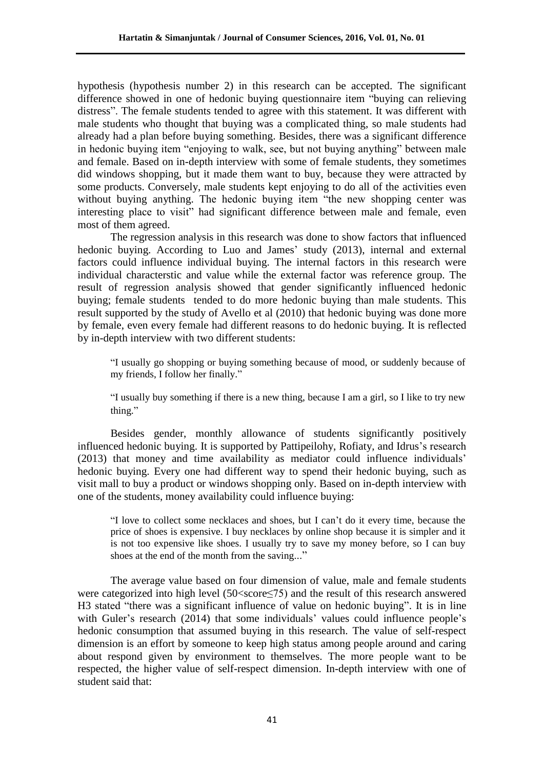hypothesis (hypothesis number 2) in this research can be accepted. The significant difference showed in one of hedonic buying questionnaire item "buying can relieving distress". The female students tended to agree with this statement. It was different with male students who thought that buying was a complicated thing, so male students had already had a plan before buying something. Besides, there was a significant difference in hedonic buying item "enjoying to walk, see, but not buying anything" between male and female. Based on in-depth interview with some of female students, they sometimes did windows shopping, but it made them want to buy, because they were attracted by some products. Conversely, male students kept enjoying to do all of the activities even without buying anything. The hedonic buying item "the new shopping center was interesting place to visit" had significant difference between male and female, even most of them agreed.

The regression analysis in this research was done to show factors that influenced hedonic buying. According to Luo and James' study (2013), internal and external factors could influence individual buying. The internal factors in this research were individual characterstic and value while the external factor was reference group. The result of regression analysis showed that gender significantly influenced hedonic buying; female students tended to do more hedonic buying than male students. This result supported by the study of Avello et al (2010) that hedonic buying was done more by female, even every female had different reasons to do hedonic buying. It is reflected by in-depth interview with two different students:

"I usually go shopping or buying something because of mood, or suddenly because of my friends, I follow her finally."

"I usually buy something if there is a new thing, because I am a girl, so I like to try new thing."

Besides gender, monthly allowance of students significantly positively influenced hedonic buying. It is supported by Pattipeilohy, Rofiaty, and Idrus's research (2013) that money and time availability as mediator could influence individuals' hedonic buying. Every one had different way to spend their hedonic buying, such as visit mall to buy a product or windows shopping only. Based on in-depth interview with one of the students, money availability could influence buying:

"I love to collect some necklaces and shoes, but I can't do it every time, because the price of shoes is expensive. I buy necklaces by online shop because it is simpler and it is not too expensive like shoes. I usually try to save my money before, so I can buy shoes at the end of the month from the saving..."

The average value based on four dimension of value, male and female students were categorized into high level (50<score≤75) and the result of this research answered H3 stated "there was a significant influence of value on hedonic buying". It is in line with Guler's research (2014) that some individuals' values could influence people's hedonic consumption that assumed buying in this research. The value of self-respect dimension is an effort by someone to keep high status among people around and caring about respond given by environment to themselves. The more people want to be respected, the higher value of self-respect dimension. In-depth interview with one of student said that: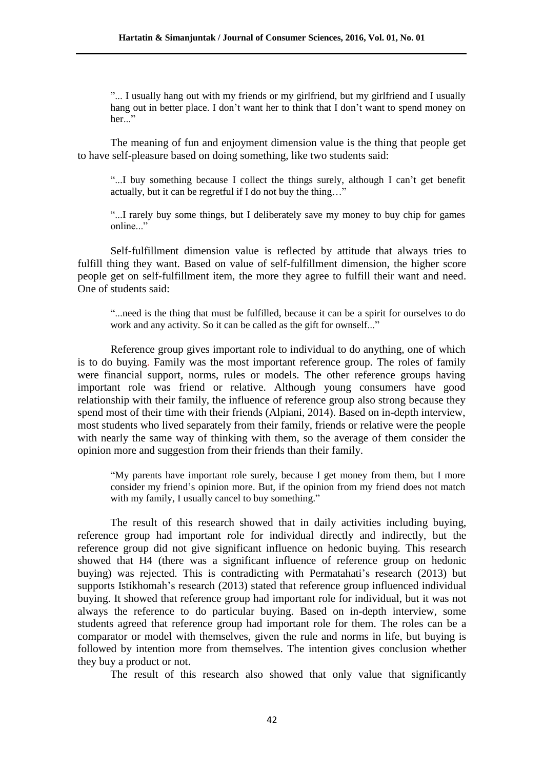"... I usually hang out with my friends or my girlfriend, but my girlfriend and I usually hang out in better place. I don't want her to think that I don't want to spend money on her..."

The meaning of fun and enjoyment dimension value is the thing that people get to have self-pleasure based on doing something, like two students said:

"...I buy something because I collect the things surely, although I can't get benefit actually, but it can be regretful if I do not buy the thing…"

"...I rarely buy some things, but I deliberately save my money to buy chip for games online..."

Self-fulfillment dimension value is reflected by attitude that always tries to fulfill thing they want. Based on value of self-fulfillment dimension, the higher score people get on self-fulfillment item, the more they agree to fulfill their want and need. One of students said:

"...need is the thing that must be fulfilled, because it can be a spirit for ourselves to do work and any activity. So it can be called as the gift for ownself..."

Reference group gives important role to individual to do anything, one of which is to do buying. Family was the most important reference group. The roles of family were financial support, norms, rules or models. The other reference groups having important role was friend or relative. Although young consumers have good relationship with their family, the influence of reference group also strong because they spend most of their time with their friends (Alpiani, 2014). Based on in-depth interview, most students who lived separately from their family, friends or relative were the people with nearly the same way of thinking with them, so the average of them consider the opinion more and suggestion from their friends than their family.

"My parents have important role surely, because I get money from them, but I more consider my friend's opinion more. But, if the opinion from my friend does not match with my family, I usually cancel to buy something."

The result of this research showed that in daily activities including buying, reference group had important role for individual directly and indirectly, but the reference group did not give significant influence on hedonic buying. This research showed that H4 (there was a significant influence of reference group on hedonic buying) was rejected. This is contradicting with Permatahati's research (2013) but supports Istikhomah's research (2013) stated that reference group influenced individual buying. It showed that reference group had important role for individual, but it was not always the reference to do particular buying. Based on in-depth interview, some students agreed that reference group had important role for them. The roles can be a comparator or model with themselves, given the rule and norms in life, but buying is followed by intention more from themselves. The intention gives conclusion whether they buy a product or not.

The result of this research also showed that only value that significantly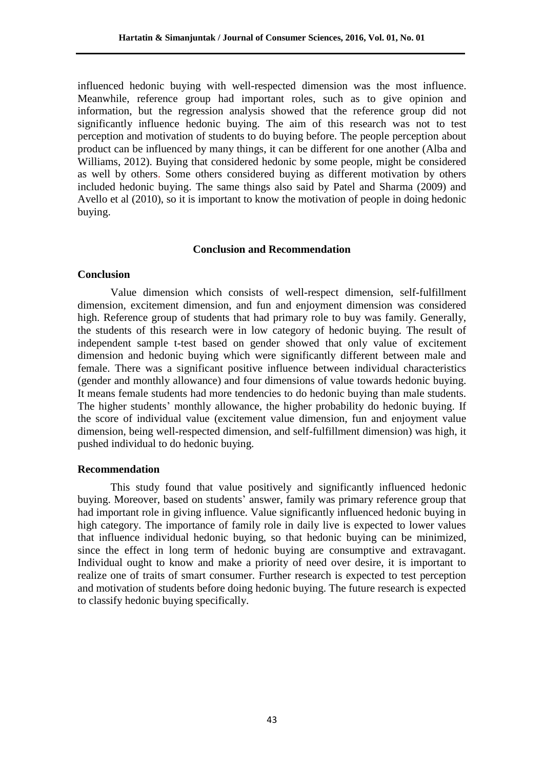influenced hedonic buying with well-respected dimension was the most influence. Meanwhile, reference group had important roles, such as to give opinion and information, but the regression analysis showed that the reference group did not significantly influence hedonic buying. The aim of this research was not to test perception and motivation of students to do buying before. The people perception about product can be influenced by many things, it can be different for one another (Alba and Williams, 2012). Buying that considered hedonic by some people, might be considered as well by others. Some others considered buying as different motivation by others included hedonic buying. The same things also said by Patel and Sharma (2009) and Avello et al (2010), so it is important to know the motivation of people in doing hedonic buying.

## **Conclusion and Recommendation**

### **Conclusion**

Value dimension which consists of well-respect dimension, self-fulfillment dimension, excitement dimension, and fun and enjoyment dimension was considered high. Reference group of students that had primary role to buy was family. Generally, the students of this research were in low category of hedonic buying. The result of independent sample t-test based on gender showed that only value of excitement dimension and hedonic buying which were significantly different between male and female. There was a significant positive influence between individual characteristics (gender and monthly allowance) and four dimensions of value towards hedonic buying. It means female students had more tendencies to do hedonic buying than male students. The higher students' monthly allowance, the higher probability do hedonic buying. If the score of individual value (excitement value dimension, fun and enjoyment value dimension, being well-respected dimension, and self-fulfillment dimension) was high, it pushed individual to do hedonic buying.

#### **Recommendation**

This study found that value positively and significantly influenced hedonic buying. Moreover, based on students' answer, family was primary reference group that had important role in giving influence. Value significantly influenced hedonic buying in high category. The importance of family role in daily live is expected to lower values that influence individual hedonic buying, so that hedonic buying can be minimized, since the effect in long term of hedonic buying are consumptive and extravagant. Individual ought to know and make a priority of need over desire, it is important to realize one of traits of smart consumer. Further research is expected to test perception and motivation of students before doing hedonic buying. The future research is expected to classify hedonic buying specifically.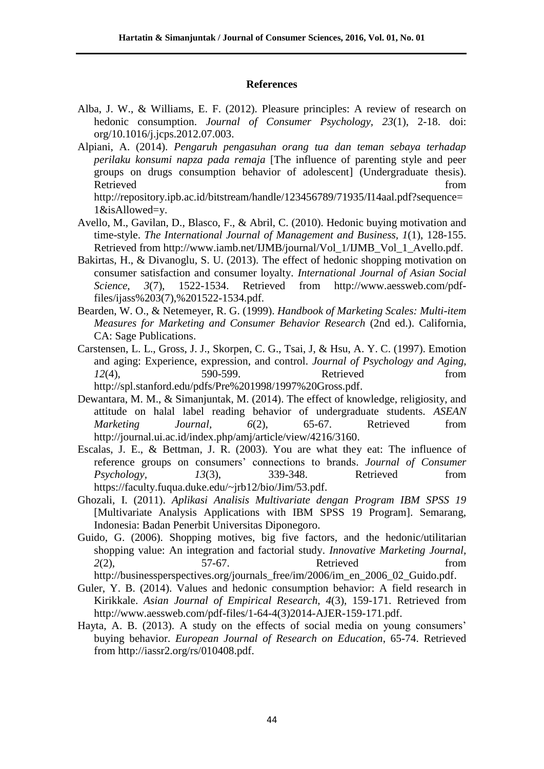## **References**

- Alba, J. W., & Williams, E. F. (2012). Pleasure principles: A review of research on hedonic consumption. *Journal of Consumer Psychology, 23*(1), 2-18. doi: org/10.1016/j.jcps.2012.07.003.
- Alpiani, A. (2014). *Pengaruh pengasuhan orang tua dan teman sebaya terhadap perilaku konsumi napza pada remaja* [The influence of parenting style and peer groups on drugs consumption behavior of adolescent] (Undergraduate thesis). Retrieved from the state of the state of the state of the state of the state of the state of the state of the state of the state of the state of the state of the state of the state of the state of the state of the state of

http://repository.ipb.ac.id/bitstream/handle/123456789/71935/I14aal.pdf?sequence= 1&isAllowed=y.

- Avello, M., Gavilan, D., Blasco, F., & Abril, C. (2010). Hedonic buying motivation and time-style. *The International Journal of Management and Business, 1*(1), 128-155. Retrieved from http://www.iamb.net/IJMB/journal/Vol\_1/IJMB\_Vol\_1\_Avello.pdf.
- Bakirtas, H., & Divanoglu, S. U. (2013). The effect of hedonic shopping motivation on consumer satisfaction and consumer loyalty. *International Journal of Asian Social Science*, *3*(7), 1522-1534. Retrieved from http://www.aessweb.com/pdffiles/ijass%203(7),%201522-1534.pdf.
- Bearden, W. O., & Netemeyer, R. G. (1999). *Handbook of Marketing Scales: Multi-item Measures for Marketing and Consumer Behavior Research* (2nd ed.). California, CA: Sage Publications.
- Carstensen, L. L., Gross, J. J., Skorpen, C. G., Tsai, J, & Hsu, A. Y. C. (1997). Emotion and aging: Experience, expression, and control. *Journal of Psychology and Aging, 12*(4), 590-599. Retrieved from http://spl.stanford.edu/pdfs/Pre%201998/1997%20Gross.pdf.
- Dewantara, M. M., & Simanjuntak, M. (2014). The effect of knowledge, religiosity, and attitude on halal label reading behavior of undergraduate students. *ASEAN Marketing Journal, 6*(2), 65-67. Retrieved from http://journal.ui.ac.id/index.php/amj/article/view/4216/3160.
- Escalas, J. E., & Bettman, J. R. (2003). You are what they eat: The influence of reference groups on consumers' connections to brands. *Journal of Consumer Psychology, 13*(3), 339-348. Retrieved from https://faculty.fuqua.duke.edu/~jrb12/bio/Jim/53.pdf.
- Ghozali, I. (2011). *Aplikasi Analisis Multivariate dengan Program IBM SPSS 19* [Multivariate Analysis Applications with IBM SPSS 19 Program]. Semarang, Indonesia: Badan Penerbit Universitas Diponegoro.
- Guido, G. (2006). Shopping motives, big five factors, and the hedonic/utilitarian shopping value: An integration and factorial study. *Innovative Marketing Journal, 2*(2), 57-67. Retrieved from

http://businessperspectives.org/journals\_free/im/2006/im\_en\_2006\_02\_Guido.pdf.

- Guler, Y. B. (2014). Values and hedonic consumption behavior: A field research in Kirikkale. *Asian Journal of Empirical Research*, *4*(3), 159-171. Retrieved from http://www.aessweb.com/pdf-files/1-64-4(3)2014-AJER-159-171.pdf.
- Hayta, A. B. (2013). A study on the effects of social media on young consumers' buying behavior. *European Journal of Research on Education*, 65-74. Retrieved from http://iassr2.org/rs/010408.pdf.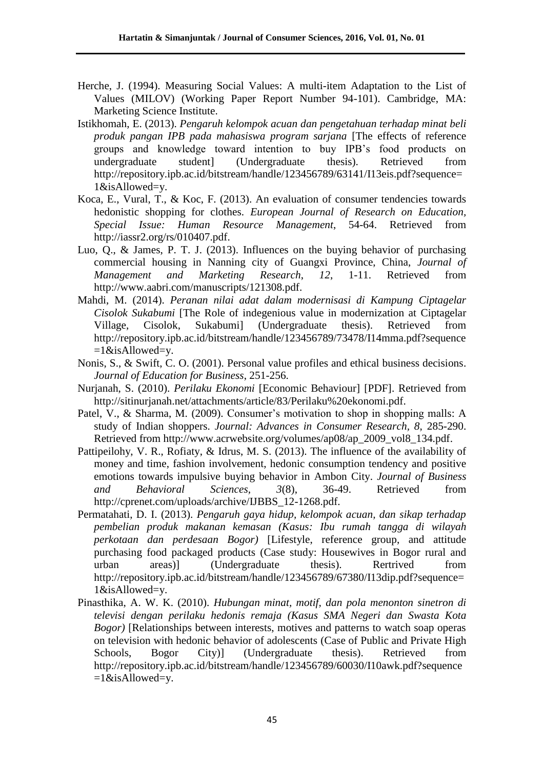- Herche, J. (1994). Measuring Social Values: A multi-item Adaptation to the List of Values (MILOV) (Working Paper Report Number 94-101). Cambridge, MA: Marketing Science Institute.
- Istikhomah, E. (2013). *Pengaruh kelompok acuan dan pengetahuan terhadap minat beli produk pangan IPB pada mahasiswa program sarjana* [The effects of reference groups and knowledge toward intention to buy IPB's food products on undergraduate student] (Undergraduate thesis). Retrieved from http://repository.ipb.ac.id/bitstream/handle/123456789/63141/I13eis.pdf?sequence= 1&isAllowed=y.
- Koca, E., Vural, T., & Koc, F. (2013). An evaluation of consumer tendencies towards hedonistic shopping for clothes. *European Journal of Research on Education, Special Issue: Human Resource Management*, 54-64. Retrieved from http://iassr2.org/rs/010407.pdf.
- Luo, Q., & James, P. T. J. (2013). Influences on the buying behavior of purchasing commercial housing in Nanning city of Guangxi Province, China, *Journal of Management and Marketing Research*, *12*, 1-11. Retrieved from http://www.aabri.com/manuscripts/121308.pdf.
- Mahdi, M. (2014). *Peranan nilai adat dalam modernisasi di Kampung Ciptagelar Cisolok Sukabumi* [The Role of indegenious value in modernization at Ciptagelar Village, Cisolok, Sukabumi] (Undergraduate thesis). Retrieved from http://repository.ipb.ac.id/bitstream/handle/123456789/73478/I14mma.pdf?sequence  $=1$ &isAllowed=y.
- Nonis, S., & Swift, C. O. (2001). Personal value profiles and ethical business decisions. *Journal of Education for Business*, 251-256.
- Nurjanah, S. (2010). *Perilaku Ekonomi* [Economic Behaviour] [PDF]. Retrieved from http://sitinurjanah.net/attachments/article/83/Perilaku%20ekonomi.pdf.
- Patel, V., & Sharma, M. (2009). Consumer's motivation to shop in shopping malls: A study of Indian shoppers. *Journal: Advances in Consumer Research, 8*, 285-290. Retrieved from http://www.acrwebsite.org/volumes/ap08/ap\_2009\_vol8\_134.pdf.
- Pattipeilohy, V. R., Rofiaty, & Idrus, M. S. (2013). The influence of the availability of money and time, fashion involvement, hedonic consumption tendency and positive emotions towards impulsive buying behavior in Ambon City. *Journal of Business and Behavioral Sciences, 3*(8), 36-49. Retrieved from http://cprenet.com/uploads/archive/IJBBS\_12-1268.pdf.
- Permatahati, D. I. (2013). *Pengaruh gaya hidup, kelompok acuan, dan sikap terhadap pembelian produk makanan kemasan (Kasus: Ibu rumah tangga di wilayah perkotaan dan perdesaan Bogor)* [Lifestyle, reference group, and attitude purchasing food packaged products (Case study: Housewives in Bogor rural and urban areas)] (Undergraduate thesis). Rertrived from http://repository.ipb.ac.id/bitstream/handle/123456789/67380/I13dip.pdf?sequence= 1&isAllowed=y.
- Pinasthika, A. W. K. (2010). *Hubungan minat, motif, dan pola menonton sinetron di televisi dengan perilaku hedonis remaja (Kasus SMA Negeri dan Swasta Kota Bogor)* [Relationships between interests, motives and patterns to watch soap operas on television with hedonic behavior of adolescents (Case of Public and Private High Schools, Bogor City)] (Undergraduate thesis). Retrieved from http://repository.ipb.ac.id/bitstream/handle/123456789/60030/I10awk.pdf?sequence  $=1$ &isAllowed=y.